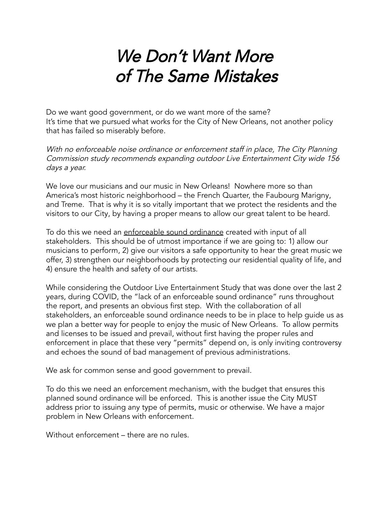## We Don't Want More of The Same Mistakes

Do we want good government, or do we want more of the same? It's time that we pursued what works for the City of New Orleans, not another policy that has failed so miserably before.

With no enforceable noise ordinance or enforcement staff in place, The City Planning Commission study recommends expanding outdoor Live Entertainment City wide <sup>156</sup> days <sup>a</sup> year.

We love our musicians and our music in New Orleans! Nowhere more so than America's most historic neighborhood – the French Quarter, the Faubourg Marigny, and Treme. That is why it is so vitally important that we protect the residents and the visitors to our City, by having a proper means to allow our great talent to be heard.

To do this we need an enforceable sound ordinance created with input of all stakeholders. This should be of utmost importance if we are going to: 1) allow our musicians to perform, 2) give our visitors a safe opportunity to hear the great music we offer, 3) strengthen our neighborhoods by protecting our residential quality of life, and 4) ensure the health and safety of our artists.

While considering the Outdoor Live Entertainment Study that was done over the last 2 years, during COVID, the "lack of an enforceable sound ordinance" runs throughout the report, and presents an obvious first step. With the collaboration of all stakeholders, an enforceable sound ordinance needs to be in place to help guide us as we plan a better way for people to enjoy the music of New Orleans. To allow permits and licenses to be issued and prevail, without first having the proper rules and enforcement in place that these very "permits" depend on, is only inviting controversy and echoes the sound of bad management of previous administrations.

We ask for common sense and good government to prevail.

To do this we need an enforcement mechanism, with the budget that ensures this planned sound ordinance will be enforced. This is another issue the City MUST address prior to issuing any type of permits, music or otherwise. We have a major problem in New Orleans with enforcement.

Without enforcement – there are no rules.